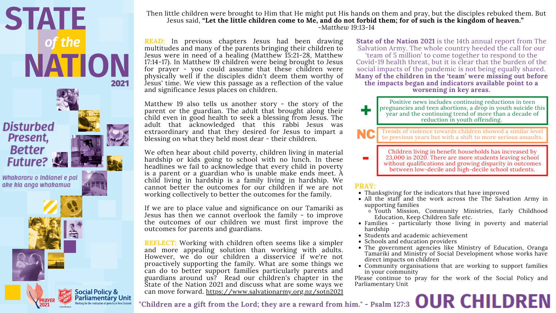# **"Children are a gift from the Lord; they are a reward from him." - Psalm 127:3**

*READ:* In previous chapters Jesus had been drawing multitudes and many of the parents bringing their children to Jesus were in need of a healing (Matthew 15:21-28, Matthew 17:14-17). In Matthew 19 children were being brought to Jesus for prayer - you could assume that these children were physically well if the disciples didn't deem them worthy of Jesus' time. We view this passage as a reflection of the value and significance Jesus places on children.

Matthew 19 also tells us another story - the story of the parent or the guardian. The adult that brought along their child even in good health to seek a blessing from Jesus. The adult that acknowledged that this rabbi Jesus was extraordinary and that they desired for Jesus to impart a blessing on what they held most dear - their children.

We often hear about child poverty, children living in material hardship or kids going to school with no lunch. In these headlines we fail to acknowledge that every child in poverty is a parent or a guardian who is unable make ends meet. A child living in hardship is a family living in hardship. We cannot better the outcomes for our children if we are not working collectively to better the outcomes for the family.

If we are to place value and significance on our Tamariki as Jesus has then we cannot overlook the family - to improve the outcomes of our children we must first improve the outcomes for parents and guardians.

**State of the Nation 2021** is the 14th annual report from The Salvation Army. The whole country heeded the call for our 'team of 5 million' to come together to respond to the Covid-19 health threat, but it is clear that the burden of the social impacts of the pandemic is not being equally shared. **Many of the children in the 'team' were missing out before the impacts began and indicators available point to a worsening in key areas.**

> Children living in benefit households has increased by 23,000 in 2020. There are more students leaving school without qualifications and growing disparity in outcomes between low-decile and high-decile school students.

**REFLECT:** Working with children often seems like a simpler and more appealing solution than working with adults. However, we do our children a disservice if we're not proactively supporting the family. What are some things we can do to better support families particularly parents and guardians around us? Read our children's chapter in the State of the Nation 2021 and discuss what are some ways we can move forward. https://www.salvationarmy.org.nz/sotn2021• Schools and education providers The government agencies like Ministry of Education, Oranga Tamariki and Ministry of Social Development whose works have direct impacts on children Community organisations that are working to support families in your community Please continue to pray for the work of the Social Policy and Parliamentary Unit

Positive news includes continuing reductions in teen pregnancies and teen abortions, a drop in youth suicide this year and the continuing trend of more than a decade of reduction in youth offending.

NC Trends of violence towards children showed a similar level to previous years but with a shift to more serious assaults.

-

+

- Thanksgiving for the indicators that have improved
- All the staff and the work across the The Salvation Army in supporting families
	- o Youth Mission, Community Ministries, Early Childhood Education, Keep Children Safe etc.
- Families particularly those living in poverty and material hardship
- Students and academic achievement
- 
- 
- 

#### **PRAY:**



Then little children were brought to Him that He might put His hands on them and pray, but the disciples rebuked them. But Jesus said, "Let the little children come to Me, and do not forbid them; for of such is the kingdom of heaven." *-Matthew 19:13-14*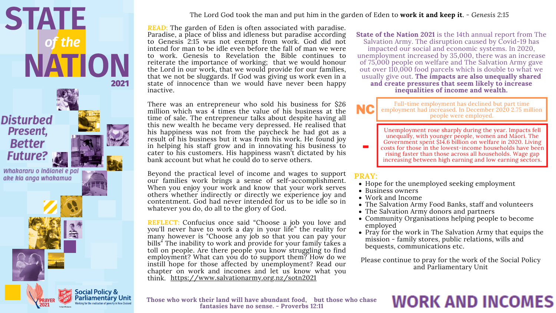**Those who work their land will have abundant food, but those who chase fantasies have no sense. - Proverbs 12:11**



### The Lord God took the man and put him in the garden of Eden to **work it and keep it**. *- Genesis 2:15*

There was an entrepreneur who sold his business for \$26 million which was 4 times the value of his business at the time of sale. The entrepreneur talks about despite having all this new wealth he became very depressed. He realised that his happiness was not from the paycheck he had got as a result of his business but it was from his work. He found joy in helping his staff grow and in innovating his business to cater to his customers. His happiness wasn't dictated by his bank account but what he could do to serve others.

- Hope for the unemployed seeking employment
- Business owners
- Work and Income
- The Salvation Army Food Banks, staff and volunteers
- The Salvation Army donors and partners
- Community Organisations helping people to become employed
- Pray for the work in The Salvation Army that equips the mission - family stores, public relations, wills and bequests, communications etc.

Please continue to pray for the work of the Social Policy and Parliamentary Unit

## **WORK AND INCOMES**

Beyond the practical level of income and wages to support our families work brings a sense of self-accomplishment. When you enjoy your work and know that your work serves others whether indirectly or directly we experience joy and contentment. God had never intended for us to be idle so in whatever you do, do all to the glory of God.

*READ:* The garden of Eden is often associated with paradise. Paradise, a place of bliss and idleness but paradise according to Genesis 2:15 was not exempt from work. God did not intend for man to be idle even before the fall of man we were to work. Genesis to Revelation the Bible continues to reiterate the importance of working; that we would honour the Lord in our work, that we would provide for our families, that we not be sluggards. If God was giving us work even in a state of innocence than we would have never been happy inactive. **State of the Nation 2021** is the 14th annual report from The Salvation Army. The disruption caused by Covid-19 has impacted our social and economic systems. In 2020, unemployment increased by 35,000, there was an increase of 75,000 people on welfare and The Salvation Army gave out over 110,000 food parcels which is double to what we usually give out. **The impacts are also unequally shared and create pressures that seem likely to increase inequalities of income and wealth.**

#### **PRAY:**

**REFLECT:** Confucius once said "Choose a job you love and you'll never have to work a day in your life" the reality for many however is "Choose any job so that you can pay your bills<sup>"</sup> The inability to work and provide for your family takes a toll on people. Are there people you know struggling to find employment? What can you do to support them? How do we instill hope for those affected by unemployment? Read our chapter on work and incomes and let us know what you think. https://www.salvationarmy.org.nz/sotn2021

Unemployment rose sharply during the year. Impacts fell unequally, with younger people, women and Māori. The Government spent \$14.6 billion on welfare in 2020. Living costs for those in the lowest-income households have been rising faster than those across all households. Wage gap increasing between high earning and low earning sectors.

Full-time employment has declined but part time employment had increased. In December 2020 2.75 million people were employed.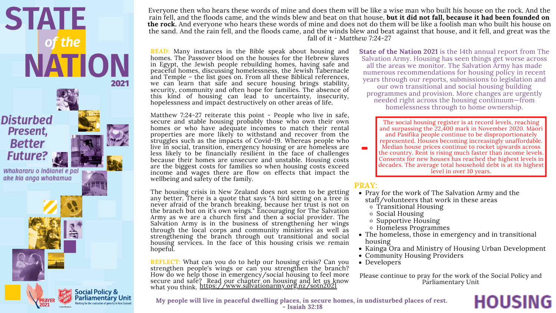**My people will live in peaceful dwelling places, in secure homes, in undisturbed places of rest. - Isaiah 32:18**



Everyone then who hears these words of mine and does them will be like a wise man who built his house on the rock. And the rain fell, and the floods came, and the winds blew and beat on that house, **but it did not fall, because it had been founded on the rock.** And everyone who hears these words of mine and does not do them will be like a foolish man who built his house on the sand. And the rain fell, and the floods came, and the winds blew and beat against that house, and it fell, and great was the fall of it *- Matthew 7:24-27*

Matthew 7:24-27 reiterate this point - People who live in safe, secure and stable housing probably those who own their own homes or who have adequate incomes to match their rental properties are more likely to withstand and recover from the struggles such as the impacts of Covid-19. Whereas people who live in social, transition, emergency housing or are homeless are less likely to be financially resilient in the face of challenges because their homes are unsecure and unstable. Housing costs are the biggest costs for families so when housing costs exceed income and wages there are flow on effects that impact the wellbeing and safety of the family.

The social housing register is at record levels, reaching and surpassing the 22,400 mark in November 2020. Māori and Pasifika people continue to be disproportionately represented. Houses becoming increasingly unaffordable. Median house prices continue to rocket upwards across the country. Rent is rising much faster than income levels. Consents for new houses has reached the highest levels in decades. The average total household debt is at its highest level in over 10 years.

*READ:* Many instances in the Bible speak about housing and homes. The Passover blood on the houses for the Hebrew slaves in Egypt, the Jewish people rebuilding homes, having safe and peaceful homes, discussing homelessness, the Jewish Tabernacle and Temple – the list goes on. From all these Biblical references, we can learn that safe and secure housing brings stability, security, community and often hope for families. The absence of this kind of housing can lead to uncertainty, insecurity, hopelessness and impact destructively on other areas of life. **State of the Nation 2021** is the 14th annual report from The Salvation Army. Housing has seen things get worse across all the areas we monitor. The Salvation Army has made numerous recommendations for housing policy in recent years through our reports, submissions to legislation and our own transitional and social housing building programmes and provision. More changes are urgently needed right across the housing continuum—from homelessness through to home ownership.

The housing crisis in New Zealand does not seem to be getting any better. There is a quote that says "A bird sitting on a tree is never afraid of the branch breaking, because her trust is not on the branch but on it's own wings." Encouraging for The Salvation Army as we are a church first and then a social provider. The Salvation Army is in the business of strengthening her wings through the local corps and community ministries as well as strengthening the branch through out transitional and social housing services. In the face of this housing crisis we remain hopeful.

**REFLECT:** What can you do to help our housing crisis? Can you strengthen people's wings or can you strengthen the branch? How do we help those in emergency/social housing to feel more secure and safe? Read our chapter on housing and let us know what you think. https://www.salvationarmy.org.nz/sotn2021 • Developers Please continue to pray for the work of the Social Policy and Parliamentary Unit

#### **PRAY:**

- Pray for the work of The Salvation Army and the staff/volunteers that work in these areas
	- Transitional Housing
	- Social Housing
	- Supportive Housing
	- Homeless Programmes
- The homeless, those in emergency and in transitional housing
- Kainga Ora and Ministry of Housing Urban Development
- Community Housing Providers
- 

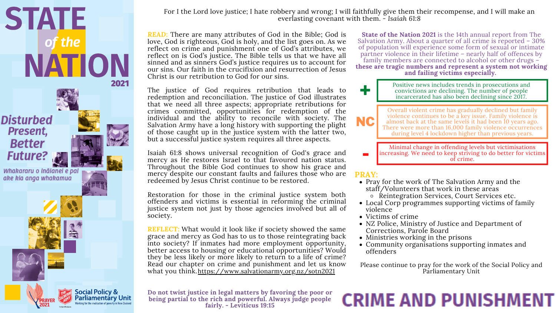**Do not twist justice in legal matters by favoring the poor or being partial to the rich and powerful. Always judge people fairly. - Leviticus 19:15**





For I the Lord love justice; I hate robbery and wrong; I will faithfully give them their recompense, and I will make an everlasting covenant with them. *- Isaiah 61:8*

The justice of God requires retribution that leads to redemption and reconciliation. The justice of God illustrates that we need all three aspects; appropriate retributions for crimes committed, opportunities for redemption of the individual and the ability to reconcile with society. The Salvation Army have a long history with supporting the plight of those caught up in the justice system with the latter two, but a successful justice system requires all three aspects.

- Pray for the work of The Salvation Army and the staff/Volunteers that work in these areas  $\circ$  Reintegration Services, Court Services etc.
- Local Corp programmes supporting victims of family violence
- Victims of crime
- NZ Police, Ministry of Justice and Department of Corrections, Parole Board
- Ministries working in the prisons
- Community organisations supporting inmates and offenders

Isaiah 61:8 shows universal recognition of God's grace and mercy as He restores Israel to that favoured nation status. Throughout the Bible God continues to show his grace and mercy despite our constant faults and failures those who are redeemed by Jesus Christ continue to be restored.

Restoration for those in the criminal justice system both offenders and victims is essential in reforming the criminal justice system not just by those agencies involved but all of society.

*READ:* There are many attributes of God in the Bible; God is love, God is righteous, God is holy, and the list goes on. As we reflect on crime and punishment one of God's attributes, we reflect on is God's justice. The Bible tells us that we have all sinned and as sinners God's justice requires us to account for our sins. Our faith in the crucifixion and resurrection of Jesus Christ is our retribution to God for our sins. **State of the Nation 2021** is the 14th annual report from The Salvation Army. About a quarter of all crime is reported – 30% of population will experience some form of sexual or intimate partner violence in their lifetime – nearly half of offences by family members are connected to alcohol or other drugs – **these are tragic numbers and represent a system not working and failing victims especially.**

#### **PRAY:**

Please continue to pray for the work of the Social Policy and Parliamentary Unit

### **CRIME AND PUNISHMENT**

**REFLECT:** What would it look like if society showed the same grace and mercy as God has to us to those reintegrating back into society? If inmates had more employment opportunity, better access to housing or educational opportunities? Would they be less likely or more likely to return to a life of crime? Read our chapter on crime and punishment and let us know what you think. https://www.salvationarmy.org.nz/sotn2021

Minimal change in offending levels but victimisations increasing. We need to keep striving to do better for victims of crime.